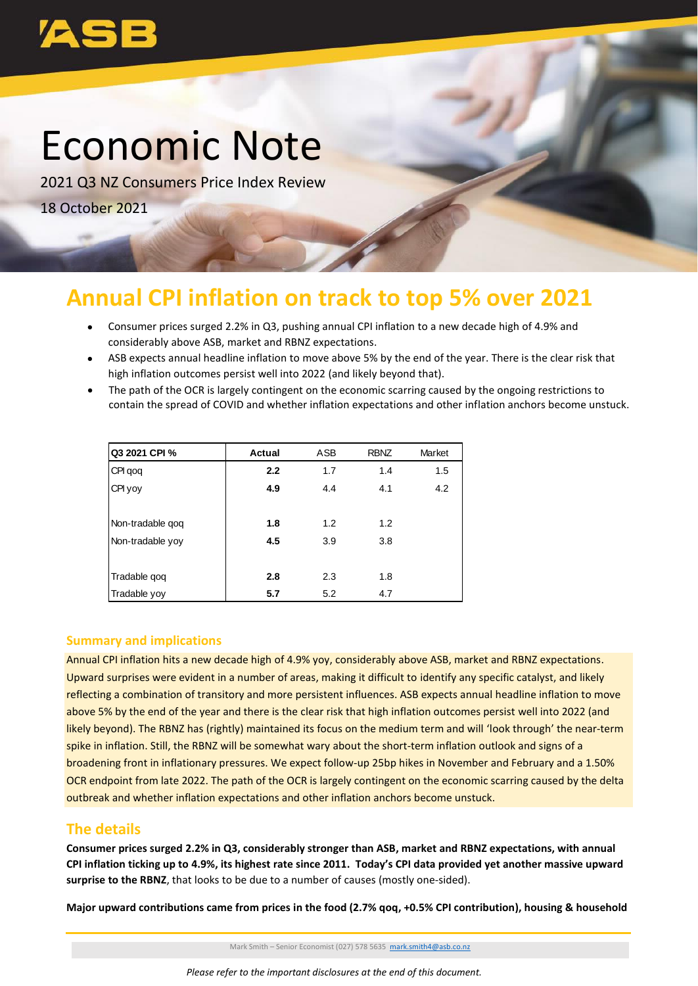# Economic Note

2021 Q3 NZ Consumers Price Index Review 18 October 2021

## **Annual CPI inflation on track to top 5% over 2021**

- Consumer prices surged 2.2% in Q3, pushing annual CPI inflation to a new decade high of 4.9% and considerably above ASB, market and RBNZ expectations.
- ASB expects annual headline inflation to move above 5% by the end of the year. There is the clear risk that high inflation outcomes persist well into 2022 (and likely beyond that).
- The path of the OCR is largely contingent on the economic scarring caused by the ongoing restrictions to contain the spread of COVID and whether inflation expectations and other inflation anchors become unstuck.

| Q3 2021 CPI %    | <b>Actual</b> | <b>ASB</b> | <b>RBNZ</b> | Market |
|------------------|---------------|------------|-------------|--------|
| CPI qoq          | 2.2           | 1.7        | 1.4         | 1.5    |
| CPI yoy          | 4.9           | 4.4        | 4.1         | 4.2    |
|                  |               |            |             |        |
| Non-tradable gog | 1.8           | 1.2        | 1.2         |        |
| Non-tradable yoy | 4.5           | 3.9        | 3.8         |        |
|                  |               |            |             |        |
| Tradable gog     | 2.8           | 2.3        | 1.8         |        |
| Tradable yoy     | 5.7           | 5.2        | 4.7         |        |

#### **Summary and implications**

Annual CPI inflation hits a new decade high of 4.9% yoy, considerably above ASB, market and RBNZ expectations. Upward surprises were evident in a number of areas, making it difficult to identify any specific catalyst, and likely reflecting a combination of transitory and more persistent influences. ASB expects annual headline inflation to move above 5% by the end of the year and there is the clear risk that high inflation outcomes persist well into 2022 (and likely beyond). The RBNZ has (rightly) maintained its focus on the medium term and will 'look through' the near-term spike in inflation. Still, the RBNZ will be somewhat wary about the short-term inflation outlook and signs of a broadening front in inflationary pressures. We expect follow-up 25bp hikes in November and February and a 1.50% OCR endpoint from late 2022. The path of the OCR is largely contingent on the economic scarring caused by the delta outbreak and whether inflation expectations and other inflation anchors become unstuck. **Mathematics** CPI % **Actual ASB Recorded at the food states and the food (2.7% qoq, +0.5% CPI contribution), housing & 10.6% CPI contributions contribution is upper prices supplementation of transition and implications and** 

### **The details**

**Consumer prices surged 2.2% in Q3, considerably stronger than ASB, market and RBNZ expectations, with annual CPI inflation ticking up to 4.9%, its highest rate since 2011. Today's CPI data provided yet another massive upward surprise to the RBNZ**, that looks to be due to a number of causes (mostly one-sided).

Mark Smith – Senior Economist (027) 578 5635 [mark.smith4@asb.co.nz](mailto:mark.smith4@asb.co.nz)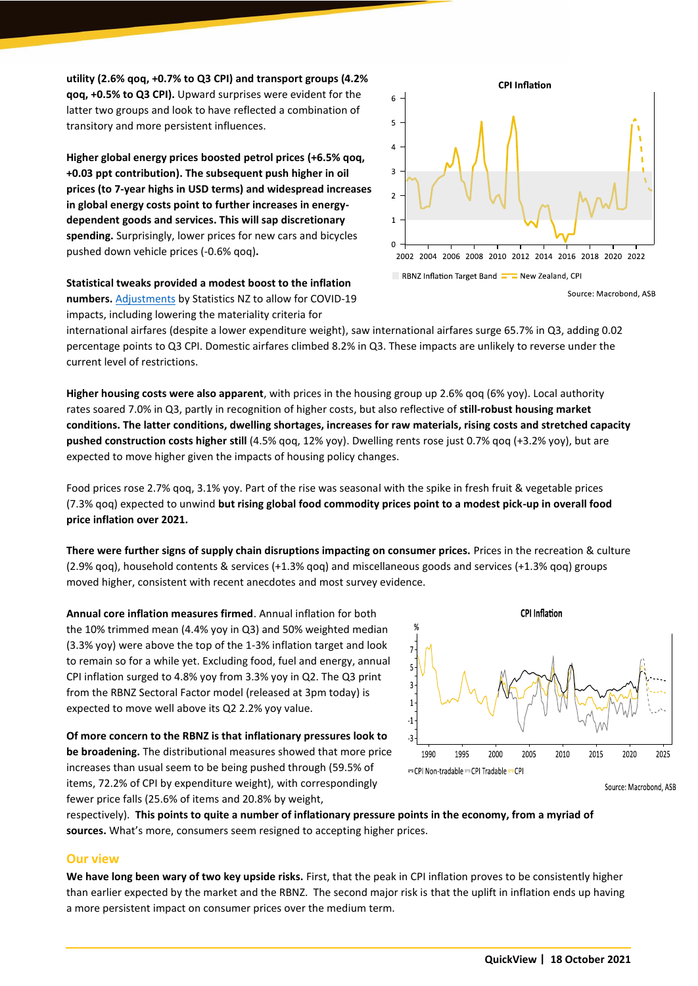**utility (2.6% qoq, +0.7% to Q3 CPI) and transport groups (4.2% qoq, +0.5% to Q3 CPI).** Upward surprises were evident for the latter two groups and look to have reflected a combination of transitory and more persistent influences.

**Higher global energy prices boosted petrol prices (+6.5% qoq, +0.03 ppt contribution). The subsequent push higher in oil prices (to 7-year highs in USD terms) and widespread increases in global energy costs point to further increases in energydependent goods and services. This will sap discretionary spending.** Surprisingly, lower prices for new cars and bicycles pushed down vehicle prices (-0.6% qoq)**.** 

**Statistical tweaks provided a modest boost to the inflation numbers.** [Adjustments](https://www.stats.govt.nz/methods/impacts-of-covid-19-on-methodology-for-the-september-2021-quarter-cpi) by Statistics NZ to allow for COVID-19 impacts, including lowering the materiality criteria for



international airfares (despite a lower expenditure weight), saw international airfares surge 65.7% in Q3, adding 0.02 percentage points to Q3 CPI. Domestic airfares climbed 8.2% in Q3. These impacts are unlikely to reverse under the current level of restrictions.

**Higher housing costs were also apparent**, with prices in the housing group up 2.6% qoq (6% yoy). Local authority rates soared 7.0% in Q3, partly in recognition of higher costs, but also reflective of **still-robust housing market conditions. The latter conditions, dwelling shortages, increases for raw materials, rising costs and stretched capacity pushed construction costs higher still** (4.5% qoq, 12% yoy). Dwelling rents rose just 0.7% qoq (+3.2% yoy), but are expected to move higher given the impacts of housing policy changes.

Food prices rose 2.7% qoq, 3.1% yoy. Part of the rise was seasonal with the spike in fresh fruit & vegetable prices (7.3% qoq) expected to unwind **but rising global food commodity prices point to a modest pick-up in overall food price inflation over 2021.**

**There were further signs of supply chain disruptions impacting on consumer prices.** Prices in the recreation & culture (2.9% qoq), household contents & services (+1.3% qoq) and miscellaneous goods and services (+1.3% qoq) groups moved higher, consistent with recent anecdotes and most survey evidence.

**Annual core inflation measures firmed**. Annual inflation for both the 10% trimmed mean (4.4% yoy in Q3) and 50% weighted median (3.3% yoy) were above the top of the 1-3% inflation target and look to remain so for a while yet. Excluding food, fuel and energy, annual CPI inflation surged to 4.8% yoy from 3.3% yoy in Q2. The Q3 print from the RBNZ Sectoral Factor model (released at 3pm today) is expected to move well above its Q2 2.2% yoy value.

**Of more concern to the RBNZ is that inflationary pressures look to be broadening.** The distributional measures showed that more price increases than usual seem to be being pushed through (59.5% of items, 72.2% of CPI by expenditure weight), with correspondingly fewer price falls (25.6% of items and 20.8% by weight,



Source: Macrobond, ASB

respectively). **This points to quite a number of inflationary pressure points in the economy, from a myriad of sources.** What's more, consumers seem resigned to accepting higher prices.

#### **Our view**

**We have long been wary of two key upside risks.** First, that the peak in CPI inflation proves to be consistently higher than earlier expected by the market and the RBNZ. The second major risk is that the uplift in inflation ends up having a more persistent impact on consumer prices over the medium term.